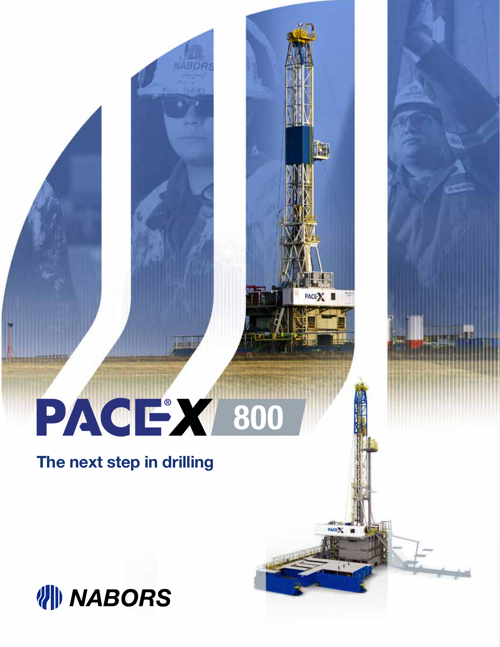## PACE 800

**in** 

 $ACD$ 

**The next step in drilling**

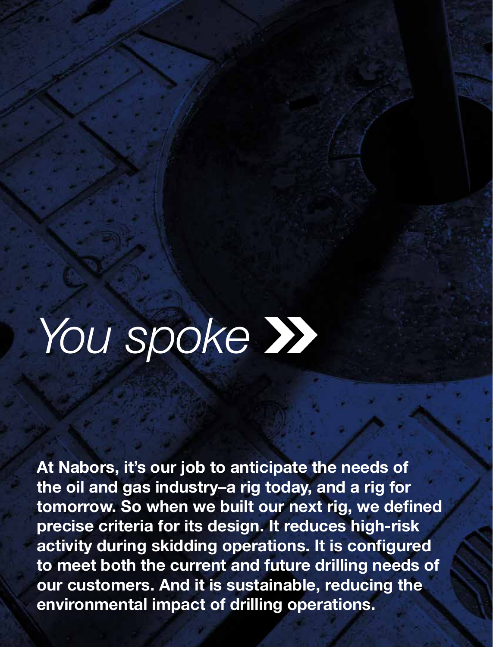## *You spoke*

**At Nabors, it's our job to anticipate the needs of the oil and gas industry–a rig today, and a rig for tomorrow. So when we built our next rig, we defined precise criteria for its design. It reduces high-risk activity during skidding operations. It is configured to meet both the current and future drilling needs of our customers. And it is sustainable, reducing the environmental impact of drilling operations.**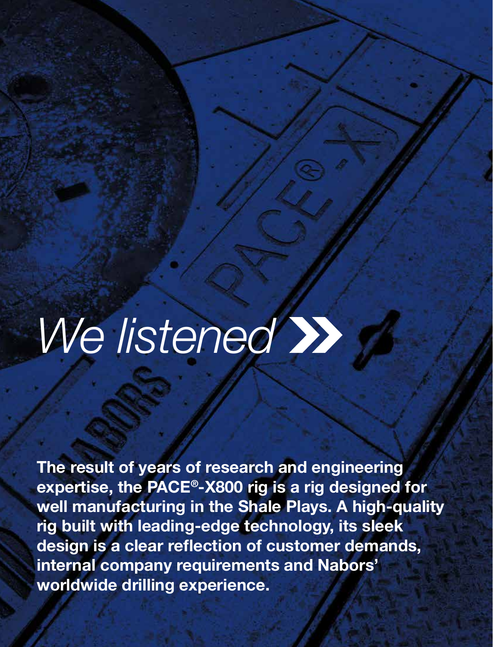## *We listened*

**The result of years of research and engineering expertise, the PACE®-X800 rig is a rig designed for well manufacturing in the Shale Plays. A high-quality rig built with leading-edge technology, its sleek design is a clear reflection of customer demands, internal company requirements and Nabors' worldwide drilling experience.**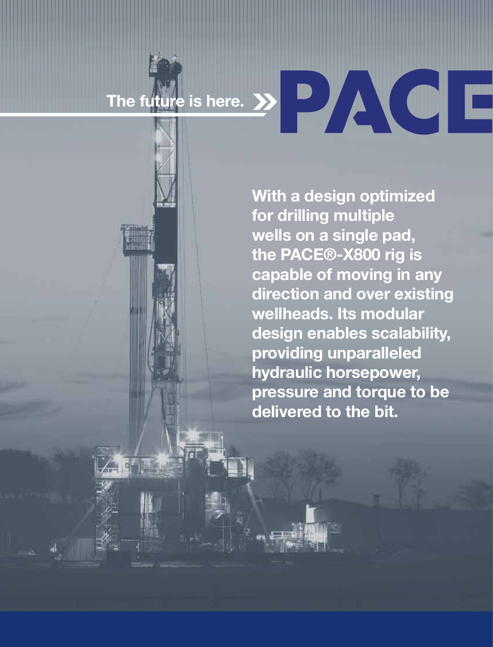# The future is here. >>

**With a design optimized for drilling multiple wells on a single pad, the PACE®-X800 rig is capable of moving in any direction and over existing wellheads. Its modular design enables scalability, providing unparalleled hydraulic horsepower, pressure and torque to be delivered to the bit.**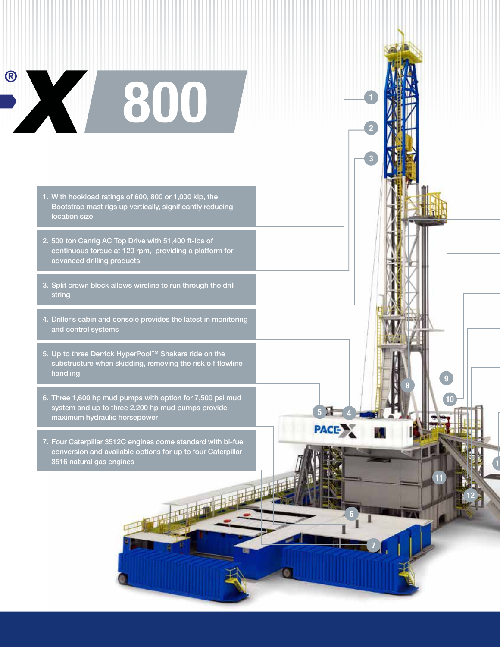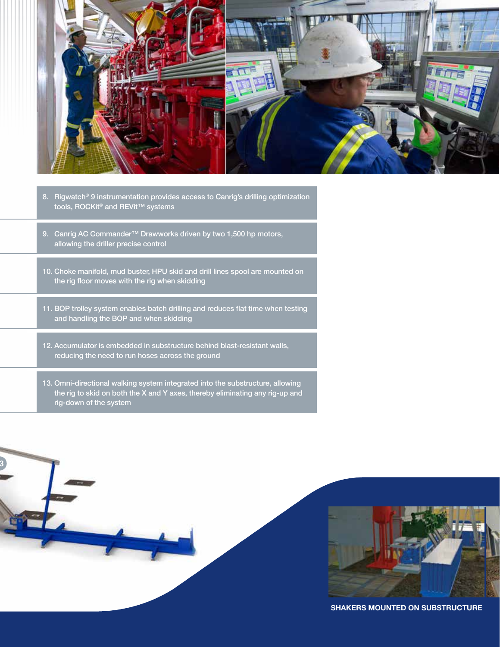

- 8. Rigwatch® 9 instrumentation provides access to Canrig's drilling optimization tools, ROCKit<sup>®</sup> and REVit<sup>™</sup> systems
- 9. Canrig AC Commander™ Drawworks driven by two 1,500 hp motors, allowing the driller precise control
- 10. Choke manifold, mud buster, HPU skid and drill lines spool are mounted on the rig floor moves with the rig when skidding
- 11. BOP trolley system enables batch drilling and reduces flat time when testing and handling the BOP and when skidding
- 12. Accumulator is embedded in substructure behind blast-resistant walls, reducing the need to run hoses across the ground
- 13. Omni-directional walking system integrated into the substructure, allowing the rig to skid on both the X and Y axes, thereby eliminating any rig-up and rig-down of the system

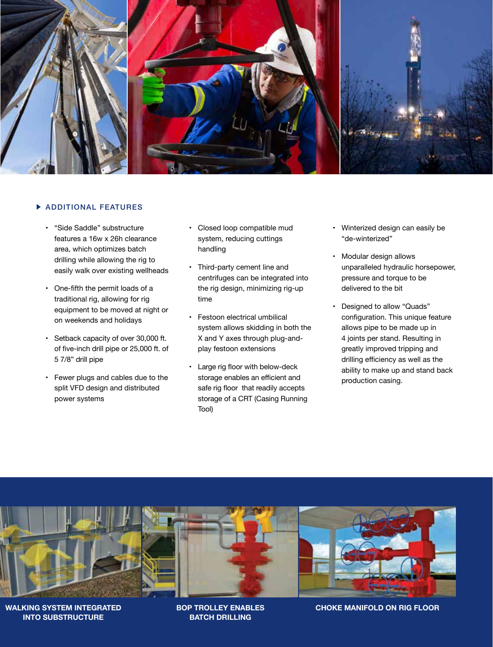

### **ADDITIONAL FEATURES**

- "Side Saddle" substructure features a 16w x 26h clearance area, which optimizes batch drilling while allowing the rig to easily walk over existing wellheads
- One-fifth the permit loads of a traditional rig, allowing for rig equipment to be moved at night or on weekends and holidays
- Setback capacity of over 30,000 ft. of five-inch drill pipe or 25,000 ft. of 5 7/8" drill pipe
- Fewer plugs and cables due to the split VFD design and distributed power systems
- Closed loop compatible mud system, reducing cuttings handling
- Third-party cement line and centrifuges can be integrated into the rig design, minimizing rig-up time
- Festoon electrical umbilical system allows skidding in both the X and Y axes through plug-andplay festoon extensions
- Large rig floor with below-deck storage enables an efficient and safe rig floor that readily accepts storage of a CRT (Casing Running Tool)
- Winterized design can easily be "de-winterized"
- Modular design allows unparalleled hydraulic horsepower, pressure and torque to be delivered to the bit
- Designed to allow "Quads" configuration. This unique feature allows pipe to be made up in 4 joints per stand. Resulting in greatly improved tripping and drilling efficiency as well as the ability to make up and stand back production casing.



**WALKING SYSTEM INTEGRATED INTO SUBSTRUCTURE**

**BOP TROLLEY ENABLES BATCH DRILLING**

**CHOKE MANIFOLD ON RIG FLOOR**